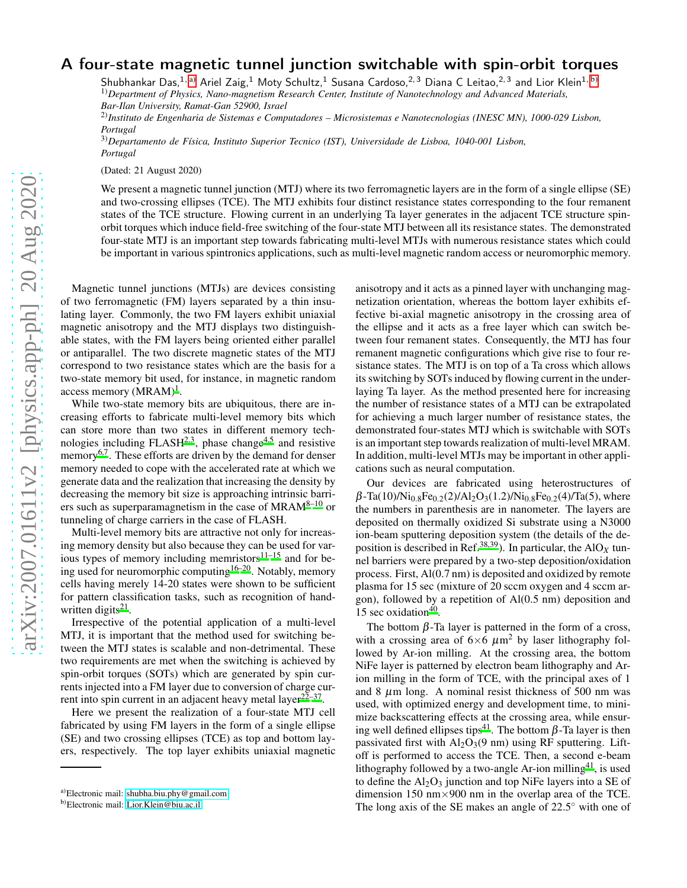## A four-state magnetic tunnel junction switchable with spin-orbit torques

Shubhankar Das, <sup>1, [a\)](#page-0-0)</sup> Ariel Zaig, <sup>1</sup> Moty Schultz, <sup>1</sup> Susana Cardoso, <sup>2, 3</sup> Diana C Leitao, <sup>2, 3</sup> and Lior Klein<sup>1, [b\)](#page-0-1)</sup> 1)*Department of Physics, Nano-magnetism Research Center, Institute of Nanotechnology and Advanced Materials,*

*Bar-Ilan University, Ramat-Gan 52900, Israel*

2)*Instituto de Engenharia de Sistemas e Computadores – Microsistemas e Nanotecnologias (INESC MN), 1000-029 Lisbon, Portugal*

3)*Departamento de Física, Instituto Superior Tecnico (IST), Universidade de Lisboa, 1040-001 Lisbon, Portugal*

(Dated: 21 August 2020)

We present a magnetic tunnel junction (MTJ) where its two ferromagnetic layers are in the form of a single ellipse (SE) and two-crossing ellipses (TCE). The MTJ exhibits four distinct resistance states corresponding to the four remanent states of the TCE structure. Flowing current in an underlying Ta layer generates in the adjacent TCE structure spinorbit torques which induce field-free switching of the four-state MTJ between all its resistance states. The demonstrated four-state MTJ is an important step towards fabricating multi-level MTJs with numerous resistance states which could be important in various spintronics applications, such as multi-level magnetic random access or neuromorphic memory.

Magnetic tunnel junctions (MTJs) are devices consisting of two ferromagnetic (FM) layers separated by a thin insulating layer. Commonly, the two FM layers exhibit uniaxial magnetic anisotropy and the MTJ displays two distinguishable states, with the FM layers being oriented either parallel or antiparallel. The two discrete magnetic states of the MTJ correspond to two resistance states which are the basis for a two-state memory bit used, for instance, in magnetic random access memory  $(MRAM)^1$  $(MRAM)^1$ .

While two-state memory bits are ubiquitous, there are increasing efforts to fabricate multi-level memory bits which can store more than two states in different memory technologies including  $FLASH^{2,3}$  $FLASH^{2,3}$  $FLASH^{2,3}$  $FLASH^{2,3}$  $FLASH^{2,3}$ , phase change<sup>[4](#page-3-3)[,5](#page-3-4)</sup> and resistive memory<sup>[6](#page-3-5)[,7](#page-3-6)</sup>. These efforts are driven by the demand for denser memory needed to cope with the accelerated rate at which we generate data and the realization that increasing the density by decreasing the memory bit size is approaching intrinsic barriers such as superparamagnetism in the case of  $MRAM<sup>8-10</sup>$  $MRAM<sup>8-10</sup>$  $MRAM<sup>8-10</sup>$  or tunneling of charge carriers in the case of FLASH.

Multi-level memory bits are attractive not only for increasing memory density but also because they can be used for various types of memory including memristors $11-15$  $11-15$  and for be-ing used for neuromorphic computing<sup>[16](#page-4-3)[–20](#page-4-4)</sup>. Notably, memory cells having merely 14-20 states were shown to be sufficient for pattern classification tasks, such as recognition of handwritten digits $^{21}$  $^{21}$  $^{21}$ .

Irrespective of the potential application of a multi-level MTJ, it is important that the method used for switching between the MTJ states is scalable and non-detrimental. These two requirements are met when the switching is achieved by spin-orbit torques (SOTs) which are generated by spin currents injected into a FM layer due to conversion of charge current into spin current in an adjacent heavy metal layer $22-37$  $22-37$ .

Here we present the realization of a four-state MTJ cell fabricated by using FM layers in the form of a single ellipse (SE) and two crossing ellipses (TCE) as top and bottom layers, respectively. The top layer exhibits uniaxial magnetic anisotropy and it acts as a pinned layer with unchanging magnetization orientation, whereas the bottom layer exhibits effective bi-axial magnetic anisotropy in the crossing area of the ellipse and it acts as a free layer which can switch between four remanent states. Consequently, the MTJ has four remanent magnetic configurations which give rise to four resistance states. The MTJ is on top of a Ta cross which allows its switching by SOTs induced by flowing current in the underlaying Ta layer. As the method presented here for increasing the number of resistance states of a MTJ can be extrapolated for achieving a much larger number of resistance states, the demonstrated four-states MTJ which is switchable with SOTs is an important step towards realization of multi-level MRAM. In addition, multi-level MTJs may be important in other applications such as neural computation.

Our devices are fabricated using heterostructures of  $\beta$ -Ta(10)/Ni<sub>0.8</sub>Fe<sub>0.2</sub>(2)/Al<sub>2</sub>O<sub>3</sub>(1.2)/Ni<sub>0.8</sub>Fe<sub>0.2</sub>(4)/Ta(5), where the numbers in parenthesis are in nanometer. The layers are deposited on thermally oxidized Si substrate using a N3000 ion-beam sputtering deposition system (the details of the de-position is described in Ref.<sup>[38](#page-4-8)[,39](#page-4-9)</sup>). In particular, the  $AIO<sub>X</sub>$  tunnel barriers were prepared by a two-step deposition/oxidation process. First, Al(0.7 nm) is deposited and oxidized by remote plasma for 15 sec (mixture of 20 sccm oxygen and 4 sccm argon), followed by a repetition of Al(0.5 nm) deposition and 15 sec oxidation $40$ .

The bottom  $\beta$ -Ta layer is patterned in the form of a cross, with a crossing area of  $6\times6 \ \mu m^2$  by laser lithography followed by Ar-ion milling. At the crossing area, the bottom NiFe layer is patterned by electron beam lithography and Arion milling in the form of TCE, with the principal axes of 1 and 8  $\mu$ m long. A nominal resist thickness of 500 nm was used, with optimized energy and development time, to minimize backscattering effects at the crossing area, while ensur-ing well defined ellipses tips<sup>[41](#page-4-11)</sup>. The bottom  $\beta$ -Ta layer is then passivated first with  $Al_2O_3(9 \text{ nm})$  using RF sputtering. Liftoff is performed to access the TCE. Then, a second e-beam lithography followed by a two-angle Ar-ion milling<sup>[41](#page-4-11)</sup>, is used to define the  $Al_2O_3$  junction and top NiFe layers into a SE of dimension 150 nm×900 nm in the overlap area of the TCE. The long axis of the SE makes an angle of 22.5◦ with one of

<span id="page-0-0"></span>a)Electronic mail: [shubha.biu.phy@gmail.com](mailto:shubha.biu.phy@gmail.com)

<span id="page-0-1"></span>b)Electronic mail: [Lior.Klein@biu.ac.il](mailto:Lior.Klein@biu.ac.il)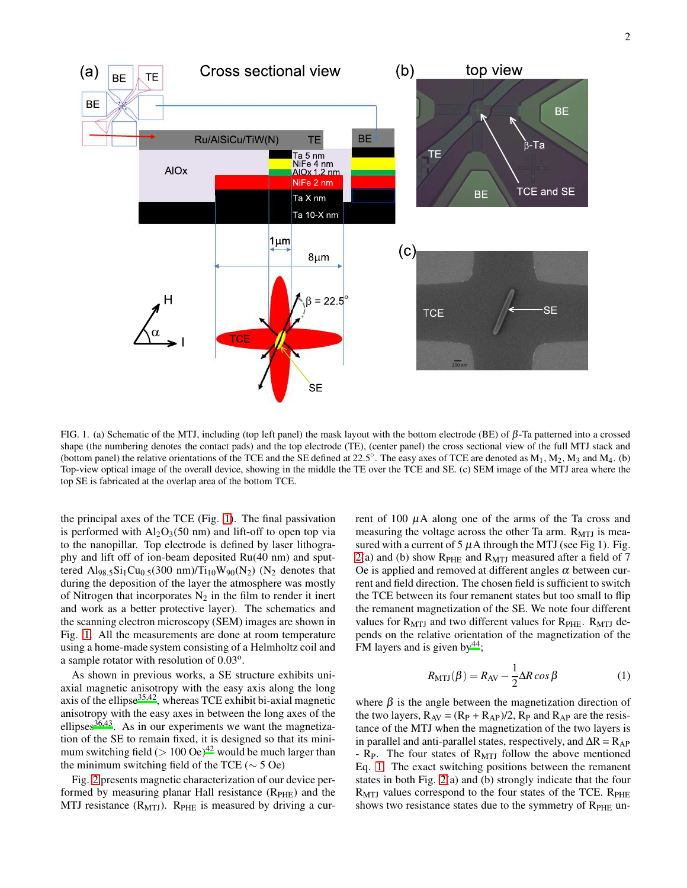

<span id="page-1-0"></span>FIG. 1. (a) Schematic of the MTJ, including (top left panel) the mask layout with the bottom electrode (BE) of β-Ta patterned into a crossed shape (the numbering denotes the contact pads) and the top electrode (TE), (center panel) the cross sectional view of the full MTJ stack and (bottom panel) the relative orientations of the TCE and the SE defined at 22.5 $^{\circ}$ . The easy axes of TCE are denoted as  $M_1$ ,  $M_2$ ,  $M_3$  and  $M_4$ . (b) Top-view optical image of the overall device, showing in the middle the TE over the TCE and SE. (c) SEM image of the MTJ area where the top SE is fabricated at the overlap area of the bottom TCE.

the principal axes of the TCE (Fig. [1\)](#page-1-0). The final passivation is performed with  $Al_2O_3(50 \text{ nm})$  and lift-off to open top via to the nanopillar. Top electrode is defined by laser lithography and lift off of ion-beam deposited Ru(40 nm) and sputtered Al<sub>98.5</sub>Si<sub>1</sub>Cu<sub>0.5</sub>(300 nm)/Ti<sub>10</sub>W<sub>90</sub>(N<sub>2</sub>) (N<sub>2</sub> denotes that during the deposition of the layer the atmosphere was mostly of Nitrogen that incorporates  $N_2$  in the film to render it inert and work as a better protective layer). The schematics and the scanning electron microscopy (SEM) images are shown in Fig. [1.](#page-1-0) All the measurements are done at room temperature using a home-made system consisting of a Helmholtz coil and a sample rotator with resolution of 0.03°.

As shown in previous works, a SE structure exhibits uniaxial magnetic anisotropy with the easy axis along the long axis of the ellipse $35,42$  $35,42$ , whereas TCE exhibit bi-axial magnetic anisotropy with the easy axes in between the long axes of the ellipses $36,43$  $36,43$ . As in our experiments we want the magnetization of the SE to remain fixed, it is designed so that its minimum switching field  $(> 100 \text{ Oe})^{42}$  $(> 100 \text{ Oe})^{42}$  $(> 100 \text{ Oe})^{42}$  would be much larger than the minimum switching field of the TCE (∼ 5 Oe)

Fig. [2](#page-2-0) presents magnetic characterization of our device performed by measuring planar Hall resistance  $(R<sub>PHE</sub>)$  and the MTJ resistance  $(R_{MTJ})$ . R<sub>PHE</sub> is measured by driving a current of 100  $\mu$ A along one of the arms of the Ta cross and measuring the voltage across the other Ta arm.  $R_{\text{MTJ}}$  is measured with a current of 5  $\mu$ A through the MTJ (see Fig 1). Fig.  $2(a)$  $2(a)$  and (b) show R<sub>PHE</sub> and R<sub>MTJ</sub> measured after a field of 7 Oe is applied and removed at different angles  $α$  between current and field direction. The chosen field is sufficient to switch the TCE between its four remanent states but too small to flip the remanent magnetization of the SE. We note four different values for  $R_{\text{MTJ}}$  and two different values for  $R_{\text{PHE}}$ .  $R_{\text{MTJ}}$  depends on the relative orientation of the magnetization of the FM layers and is given by  $44$ ;

<span id="page-1-1"></span>
$$
R_{\rm MTJ}(\beta) = R_{\rm AV} - \frac{1}{2} \Delta R \cos \beta \tag{1}
$$

where  $\beta$  is the angle between the magnetization direction of the two layers,  $R_{AV} = (R_P + R_{AP})/2$ ,  $R_P$  and  $R_{AP}$  are the resistance of the MTJ when the magnetization of the two layers is in parallel and anti-parallel states, respectively, and  $\Delta R = R_{AP}$ -  $R_P$ . The four states of  $R_{\text{MTJ}}$  follow the above mentioned Eq. [1.](#page-1-1) The exact switching positions between the remanent states in both Fig. [2\(](#page-2-0)a) and (b) strongly indicate that the four  $R_{\text{MTJ}}$  values correspond to the four states of the TCE.  $R_{\text{PHE}}$ shows two resistance states due to the symmetry of R<sub>PHE</sub> un-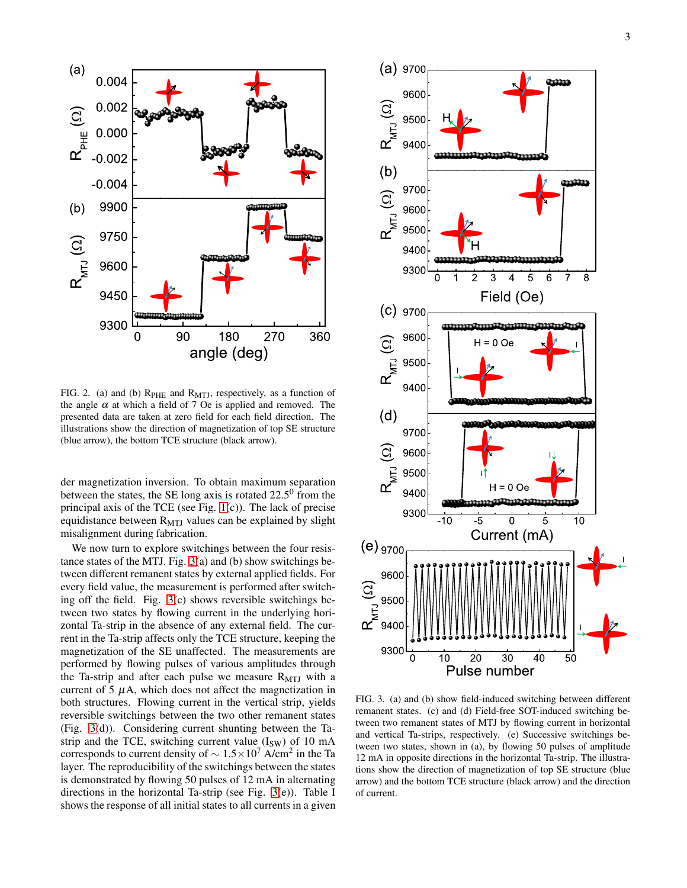

<span id="page-2-0"></span>FIG. 2. (a) and (b)  $R_{\text{PHE}}$  and  $R_{\text{MTJ}}$ , respectively, as a function of the angle  $\alpha$  at which a field of 7 Oe is applied and removed. The presented data are taken at zero field for each field direction. The illustrations show the direction of magnetization of top SE structure (blue arrow), the bottom TCE structure (black arrow).

der magnetization inversion. To obtain maximum separation between the states, the SE long axis is rotated  $22.5^{\circ}$  from the principal axis of the TCE (see Fig. [1\(](#page-1-0)c)). The lack of precise equidistance between  $R_{\text{MTJ}}$  values can be explained by slight misalignment during fabrication.

We now turn to explore switchings between the four resistance states of the MTJ. Fig. [3\(](#page-2-1)a) and (b) show switchings between different remanent states by external applied fields. For every field value, the measurement is performed after switching off the field. Fig. [3\(](#page-2-1)c) shows reversible switchings between two states by flowing current in the underlying horizontal Ta-strip in the absence of any external field. The current in the Ta-strip affects only the TCE structure, keeping the magnetization of the SE unaffected. The measurements are performed by flowing pulses of various amplitudes through the Ta-strip and after each pulse we measure  $R_{\text{MTJ}}$  with a current of  $5 \mu A$ , which does not affect the magnetization in both structures. Flowing current in the vertical strip, yields reversible switchings between the two other remanent states (Fig. [3\(](#page-2-1)d)). Considering current shunting between the Tastrip and the TCE, switching current value  $(I_{SW})$  of 10 mA corresponds to current density of  $\sim 1.5 \times 10^7$  A/cm<sup>2</sup> in the Ta layer. The reproducibility of the switchings between the states is demonstrated by flowing 50 pulses of 12 mA in alternating directions in the horizontal Ta-strip (see Fig. [3\(](#page-2-1)e)). Table I shows the response of all initial states to all currents in a given



<span id="page-2-1"></span>FIG. 3. (a) and (b) show field-induced switching between different remanent states. (c) and (d) Field-free SOT-induced switching between two remanent states of MTJ by flowing current in horizontal and vertical Ta-strips, respectively. (e) Successive switchings between two states, shown in (a), by flowing 50 pulses of amplitude 12 mA in opposite directions in the horizontal Ta-strip. The illustrations show the direction of magnetization of top SE structure (blue arrow) and the bottom TCE structure (black arrow) and the direction of current.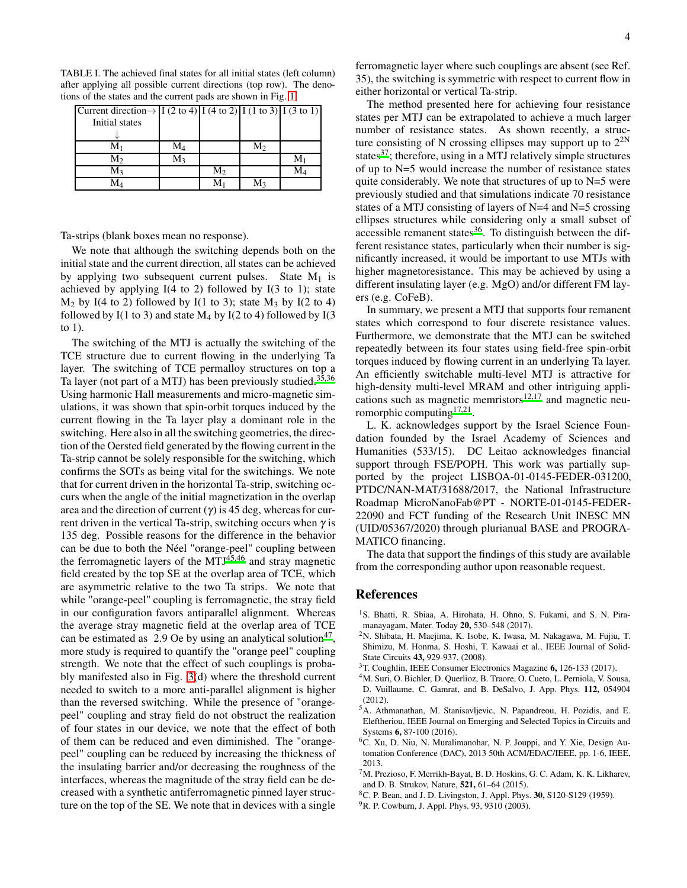| Current direction $\rightarrow$ I (2 to 4) I (4 to 2) I (1 to 3) I (3 to 1) |             |                |                |                |
|-----------------------------------------------------------------------------|-------------|----------------|----------------|----------------|
| Initial states                                                              |             |                |                |                |
|                                                                             |             |                |                |                |
| M1                                                                          | $\rm M_{4}$ |                | M <sub>2</sub> |                |
| M2                                                                          | $M_3$       |                |                | $\mathbf{M}_1$ |
| M3                                                                          |             | M <sub>2</sub> |                | $\rm M_{4}$    |
| M                                                                           |             | М              | M۹             |                |

TABLE I. The achieved final states for all initial states (left column) after applying all possible current directions (top row). The denotions of the states and the current pads are shown in Fig. [1.](#page-1-0)

Ta-strips (blank boxes mean no response).

We note that although the switching depends both on the initial state and the current direction, all states can be achieved by applying two subsequent current pulses. State  $M_1$  is achieved by applying  $I(4 \text{ to } 2)$  followed by  $I(3 \text{ to } 1)$ ; state  $M<sub>2</sub>$  by I(4 to 2) followed by I(1 to 3); state  $M<sub>3</sub>$  by I(2 to 4) followed by I(1 to 3) and state  $M_4$  by I(2 to 4) followed by I(3 to 1).

The switching of the MTJ is actually the switching of the TCE structure due to current flowing in the underlying Ta layer. The switching of TCE permalloy structures on top a Ta layer (not part of a MTJ) has been previously studied.<sup>[35](#page-4-12)[,36](#page-4-14)</sup> Using harmonic Hall measurements and micro-magnetic simulations, it was shown that spin-orbit torques induced by the current flowing in the Ta layer play a dominant role in the switching. Here also in all the switching geometries, the direction of the Oersted field generated by the flowing current in the Ta-strip cannot be solely responsible for the switching, which confirms the SOTs as being vital for the switchings. We note that for current driven in the horizontal Ta-strip, switching occurs when the angle of the initial magnetization in the overlap area and the direction of current  $(\gamma)$  is 45 deg, whereas for current driven in the vertical Ta-strip, switching occurs when  $\gamma$  is 135 deg. Possible reasons for the difference in the behavior can be due to both the Néel "orange-peel" coupling between the ferromagnetic layers of the  $MTJ<sup>45,46</sup>$  $MTJ<sup>45,46</sup>$  $MTJ<sup>45,46</sup>$  $MTJ<sup>45,46</sup>$  and stray magnetic field created by the top SE at the overlap area of TCE, which are asymmetric relative to the two Ta strips. We note that while "orange-peel" coupling is ferromagnetic, the stray field in our configuration favors antiparallel alignment. Whereas the average stray magnetic field at the overlap area of TCE can be estimated as  $2.9$  Oe by using an analytical solution<sup>[47](#page-4-19)</sup>, more study is required to quantify the "orange peel" coupling strength. We note that the effect of such couplings is probably manifested also in Fig. [3\(](#page-2-1)d) where the threshold current needed to switch to a more anti-parallel alignment is higher than the reversed switching. While the presence of "orangepeel" coupling and stray field do not obstruct the realization of four states in our device, we note that the effect of both of them can be reduced and even diminished. The "orangepeel" coupling can be reduced by increasing the thickness of the insulating barrier and/or decreasing the roughness of the interfaces, whereas the magnitude of the stray field can be decreased with a synthetic antiferromagnetic pinned layer structure on the top of the SE. We note that in devices with a single

ferromagnetic layer where such couplings are absent (see Ref. 35), the switching is symmetric with respect to current flow in either horizontal or vertical Ta-strip.

The method presented here for achieving four resistance states per MTJ can be extrapolated to achieve a much larger number of resistance states. As shown recently, a structure consisting of N crossing ellipses may support up to  $2^{2N}$ states<sup>[37](#page-4-7)</sup>; therefore, using in a MTJ relatively simple structures of up to N=5 would increase the number of resistance states quite considerably. We note that structures of up to  $N=5$  were previously studied and that simulations indicate 70 resistance states of a MTJ consisting of layers of N=4 and N=5 crossing ellipses structures while considering only a small subset of accessible remanent states $36$ . To distinguish between the different resistance states, particularly when their number is significantly increased, it would be important to use MTJs with higher magnetoresistance. This may be achieved by using a different insulating layer (e.g. MgO) and/or different FM layers (e.g. CoFeB).

In summary, we present a MTJ that supports four remanent states which correspond to four discrete resistance values. Furthermore, we demonstrate that the MTJ can be switched repeatedly between its four states using field-free spin-orbit torques induced by flowing current in an underlying Ta layer. An efficiently switchable multi-level MTJ is attractive for high-density multi-level MRAM and other intriguing applications such as magnetic memristors $12,17$  $12,17$  and magnetic neu-romorphic computing<sup>[17](#page-4-21)[,21](#page-4-5)</sup>.

L. K. acknowledges support by the Israel Science Foundation founded by the Israel Academy of Sciences and Humanities (533/15). DC Leitao acknowledges financial support through FSE/POPH. This work was partially supported by the project LISBOA-01-0145-FEDER-031200, PTDC/NAN-MAT/31688/2017, the National Infrastructure Roadmap MicroNanoFab@PT - NORTE-01-0145-FEDER-22090 and FCT funding of the Research Unit INESC MN (UID/05367/2020) through plurianual BASE and PROGRA-MATICO financing.

The data that support the findings of this study are available from the corresponding author upon reasonable request.

## References

- <span id="page-3-0"></span><sup>1</sup>S. Bhatti, R. Sbiaa, A. Hirohata, H. Ohno, S. Fukami, and S. N. Piramanayagam, Mater. Today 20, 530–548 (2017).
- <span id="page-3-1"></span><sup>2</sup>N. Shibata, H. Maejima, K. Isobe, K. Iwasa, M. Nakagawa, M. Fujiu, T. Shimizu, M. Honma, S. Hoshi, T. Kawaai et al., IEEE Journal of Solid-State Circuits 43, 929-937, (2008).
- <span id="page-3-2"></span><sup>3</sup>T. Coughlin, IEEE Consumer Electronics Magazine 6, 126-133 (2017).
- <span id="page-3-3"></span><sup>4</sup>M. Suri, O. Bichler, D. Querlioz, B. Traore, O. Cueto, L. Perniola, V. Sousa, D. Vuillaume, C. Gamrat, and B. DeSalvo, J. App. Phys. 112, 054904 (2012).
- <span id="page-3-4"></span><sup>5</sup>A. Athmanathan, M. Stanisavljevic, N. Papandreou, H. Pozidis, and E. Eleftheriou, IEEE Journal on Emerging and Selected Topics in Circuits and Systems **6**, 87-100 (2016).
- <span id="page-3-5"></span><sup>6</sup>C. Xu, D. Niu, N. Muralimanohar, N. P. Jouppi, and Y. Xie, Design Automation Conference (DAC), 2013 50th ACM/EDAC/IEEE, pp. 1-6, IEEE, 2013.
- <span id="page-3-6"></span><sup>7</sup>M. Prezioso, F. Merrikh-Bayat, B. D. Hoskins, G. C. Adam, K. K. Likharev, and D. B. Strukov, Nature, 521, 61–64 (2015).
- <span id="page-3-7"></span><sup>8</sup>C. P. Bean, and J. D. Livingston, J. Appl. Phys. 30, S120-S129 (1959).
- <sup>9</sup>R. P. Cowburn, J. Appl. Phys. 93, 9310 (2003).